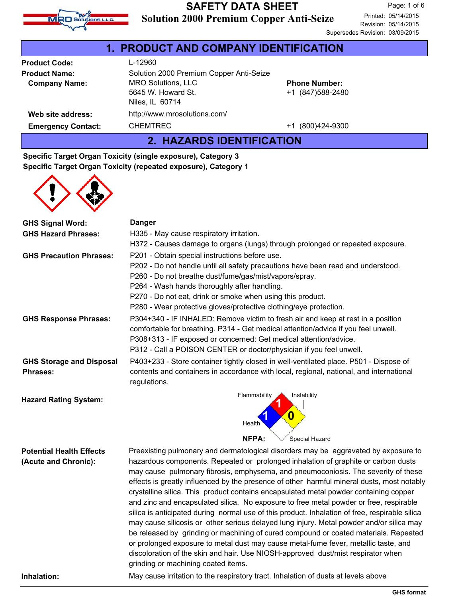

### **Solution 2000 Premium Copper Anti-Seize SAFETY DATA SHEET**

| 1. PRODUCT AND COMPANY IDENTIFICATION |                                         |                      |  |
|---------------------------------------|-----------------------------------------|----------------------|--|
| <b>Product Code:</b>                  | L-12960                                 |                      |  |
| <b>Product Name:</b>                  | Solution 2000 Premium Copper Anti-Seize |                      |  |
| <b>Company Name:</b>                  | <b>MRO Solutions, LLC</b>               | <b>Phone Number:</b> |  |
|                                       | 5645 W. Howard St.                      | +1 (847) 588-2480    |  |
|                                       | Niles, IL 60714                         |                      |  |
| Web site address:                     | http://www.mrosolutions.com/            |                      |  |
| <b>Emergency Contact:</b>             | <b>CHEMTREC</b>                         | +1 (800)424-9300     |  |
|                                       |                                         |                      |  |

**2. HAZARDS IDENTIFICATION**

### **Specific Target Organ Toxicity (single exposure), Category 3 Specific Target Organ Toxicity (repeated exposure), Category 1**



| <b>GHS Signal Word:</b>         | <b>Danger</b>                                                                                                                                                                            |  |  |
|---------------------------------|------------------------------------------------------------------------------------------------------------------------------------------------------------------------------------------|--|--|
| <b>GHS Hazard Phrases:</b>      | H335 - May cause respiratory irritation.                                                                                                                                                 |  |  |
|                                 | H372 - Causes damage to organs (lungs) through prolonged or repeated exposure.                                                                                                           |  |  |
| <b>GHS Precaution Phrases:</b>  | P201 - Obtain special instructions before use.                                                                                                                                           |  |  |
|                                 | P202 - Do not handle until all safety precautions have been read and understood.                                                                                                         |  |  |
|                                 | P260 - Do not breathe dust/fume/gas/mist/vapors/spray.                                                                                                                                   |  |  |
|                                 | P264 - Wash hands thoroughly after handling.                                                                                                                                             |  |  |
|                                 | P270 - Do not eat, drink or smoke when using this product.                                                                                                                               |  |  |
|                                 | P280 - Wear protective gloves/protective clothing/eye protection.                                                                                                                        |  |  |
| <b>GHS Response Phrases:</b>    | P304+340 - IF INHALED: Remove victim to fresh air and keep at rest in a position                                                                                                         |  |  |
|                                 | comfortable for breathing. P314 - Get medical attention/advice if you feel unwell.                                                                                                       |  |  |
|                                 | P308+313 - IF exposed or concerned: Get medical attention/advice.                                                                                                                        |  |  |
|                                 | P312 - Call a POISON CENTER or doctor/physician if you feel unwell.                                                                                                                      |  |  |
| <b>GHS Storage and Disposal</b> | P403+233 - Store container tightly closed in well-ventilated place. P501 - Dispose of                                                                                                    |  |  |
| <b>Phrases:</b>                 | contents and containers in accordance with local, regional, national, and international<br>regulations.                                                                                  |  |  |
| <b>Hazard Rating System:</b>    | Flammability<br>Instability                                                                                                                                                              |  |  |
|                                 | 0                                                                                                                                                                                        |  |  |
|                                 | Health                                                                                                                                                                                   |  |  |
|                                 | NFPA:<br>Special Hazard                                                                                                                                                                  |  |  |
| <b>Potential Health Effects</b> | Preexisting pulmonary and dermatological disorders may be aggravated by exposure to                                                                                                      |  |  |
| (Acute and Chronic):            | hazardous components. Repeated or prolonged inhalation of graphite or carbon dusts                                                                                                       |  |  |
|                                 | may cause pulmonary fibrosis, emphysema, and pneumoconiosis. The severity of these                                                                                                       |  |  |
|                                 | effects is greatly influenced by the presence of other harmful mineral dusts, most notably                                                                                               |  |  |
|                                 | crystalline silica. This product contains encapsulated metal powder containing copper                                                                                                    |  |  |
|                                 | and zinc and encapsulated silica. No exposure to free metal powder or free, respirable<br>silica is anticipated during normal use of this product. Inhalation of free, respirable silica |  |  |
|                                 | may cause silicosis or other serious delayed lung injury. Metal powder and/or silica may                                                                                                 |  |  |
|                                 | be released by grinding or machining of cured compound or coated materials. Repeated                                                                                                     |  |  |
|                                 | or prolonged exposure to metal dust may cause metal-fume fever, metallic taste, and                                                                                                      |  |  |
|                                 | discoloration of the skin and hair. Use NIOSH-approved dust/mist respirator when                                                                                                         |  |  |
|                                 | grinding or machining coated items.                                                                                                                                                      |  |  |

**Inhalation:** May cause irritation to the respiratory tract. Inhalation of dusts at levels above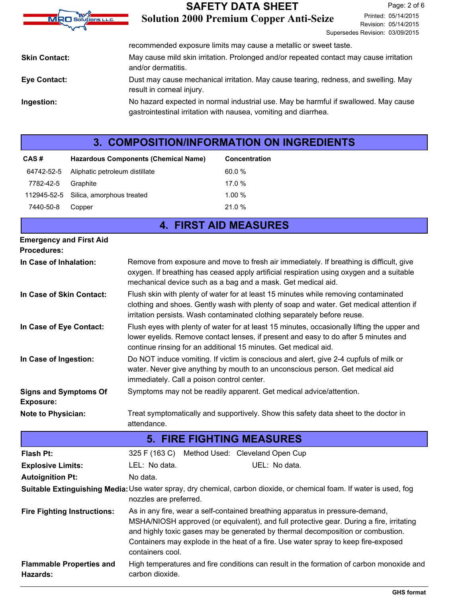| <b>SAFETY DATA SHEET</b>                       |                                                                                                                                                                                        | Page: 2 of 6                                                                                                                                                                                                                                                                                            |
|------------------------------------------------|----------------------------------------------------------------------------------------------------------------------------------------------------------------------------------------|---------------------------------------------------------------------------------------------------------------------------------------------------------------------------------------------------------------------------------------------------------------------------------------------------------|
| <b>Solution 2000 Premium Copper Anti-Seize</b> |                                                                                                                                                                                        | Printed: 05/14/2015<br>Revision: 05/14/2015                                                                                                                                                                                                                                                             |
|                                                |                                                                                                                                                                                        |                                                                                                                                                                                                                                                                                                         |
|                                                |                                                                                                                                                                                        |                                                                                                                                                                                                                                                                                                         |
|                                                |                                                                                                                                                                                        |                                                                                                                                                                                                                                                                                                         |
|                                                |                                                                                                                                                                                        |                                                                                                                                                                                                                                                                                                         |
|                                                |                                                                                                                                                                                        |                                                                                                                                                                                                                                                                                                         |
|                                                | recommended exposure limits may cause a metallic or sweet taste.<br>and/or dermatitis.<br>result in corneal injury.<br>gastrointestinal irritation with nausea, vomiting and diarrhea. | Supersedes Revision: 03/09/2015<br>May cause mild skin irritation. Prolonged and/or repeated contact may cause irritation<br>Dust may cause mechanical irritation. May cause tearing, redness, and swelling. May<br>No hazard expected in normal industrial use. May be harmful if swallowed. May cause |

# **3. COMPOSITION/INFORMATION ON INGREDIENTS**

| CAS#      | <b>Hazardous Components (Chemical Name)</b> | <b>Concentration</b> |
|-----------|---------------------------------------------|----------------------|
|           | 64742-52-5 Aliphatic petroleum distillate   | 60.0%                |
| 7782-42-5 | Graphite                                    | 17.0 %               |
|           | 112945-52-5 Silica, amorphous treated       | 1.00%                |
| 7440-50-8 | Copper                                      | 21.0 %               |

|                                                      | <b>4. FIRST AID MEASURES</b>                                                                                                                                                                                                                               |
|------------------------------------------------------|------------------------------------------------------------------------------------------------------------------------------------------------------------------------------------------------------------------------------------------------------------|
| <b>Emergency and First Aid</b><br><b>Procedures:</b> |                                                                                                                                                                                                                                                            |
| In Case of Inhalation:                               | Remove from exposure and move to fresh air immediately. If breathing is difficult, give<br>oxygen. If breathing has ceased apply artificial respiration using oxygen and a suitable<br>mechanical device such as a bag and a mask. Get medical aid.        |
| In Case of Skin Contact:                             | Flush skin with plenty of water for at least 15 minutes while removing contaminated<br>clothing and shoes. Gently wash with plenty of soap and water. Get medical attention if<br>irritation persists. Wash contaminated clothing separately before reuse. |
| In Case of Eye Contact:                              | Flush eyes with plenty of water for at least 15 minutes, occasionally lifting the upper and<br>lower eyelids. Remove contact lenses, if present and easy to do after 5 minutes and<br>continue rinsing for an additional 15 minutes. Get medical aid.      |
| In Case of Ingestion:                                | Do NOT induce vomiting. If victim is conscious and alert, give 2-4 cupfuls of milk or<br>water. Never give anything by mouth to an unconscious person. Get medical aid<br>immediately. Call a poison control center.                                       |
| <b>Signs and Symptoms Of</b><br><b>Exposure:</b>     | Symptoms may not be readily apparent. Get medical advice/attention.                                                                                                                                                                                        |
| <b>Note to Physician:</b>                            | Treat symptomatically and supportively. Show this safety data sheet to the doctor in<br>attendance.                                                                                                                                                        |
|                                                      | <b>5. FIRE FIGHTING MEASURES</b>                                                                                                                                                                                                                           |
| <b>Flash Pt:</b>                                     | 325 F (163 C) Method Used: Cleveland Open Cup                                                                                                                                                                                                              |
|                                                      |                                                                                                                                                                                                                                                            |

| .                                           | <u>ULU I (100 O) MICHIOG OSCO. OICYCIONG ODCH OGD</u> |                                                                                                                                                                                                                                                                                                                                                    |  |  |
|---------------------------------------------|-------------------------------------------------------|----------------------------------------------------------------------------------------------------------------------------------------------------------------------------------------------------------------------------------------------------------------------------------------------------------------------------------------------------|--|--|
| <b>Explosive Limits:</b>                    | LEL: No data.                                         | UEL: No data.                                                                                                                                                                                                                                                                                                                                      |  |  |
| <b>Autoignition Pt:</b>                     | No data.                                              |                                                                                                                                                                                                                                                                                                                                                    |  |  |
|                                             | nozzles are preferred.                                | Suitable Extinguishing Media: Use water spray, dry chemical, carbon dioxide, or chemical foam. If water is used, fog                                                                                                                                                                                                                               |  |  |
| <b>Fire Fighting Instructions:</b>          | containers cool.                                      | As in any fire, wear a self-contained breathing apparatus in pressure-demand,<br>MSHA/NIOSH approved (or equivalent), and full protective gear. During a fire, irritating<br>and highly toxic gases may be generated by thermal decomposition or combustion.<br>Containers may explode in the heat of a fire. Use water spray to keep fire-exposed |  |  |
| <b>Flammable Properties and</b><br>Hazards: | carbon dioxide.                                       | High temperatures and fire conditions can result in the formation of carbon monoxide and                                                                                                                                                                                                                                                           |  |  |
|                                             |                                                       |                                                                                                                                                                                                                                                                                                                                                    |  |  |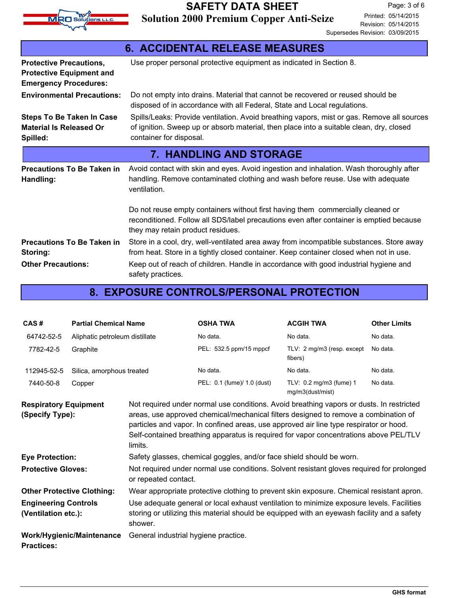

| <b>6. ACCIDENTAL RELEASE MEASURES</b>                                                             |                                                                                                                                                                                                                  |  |  |
|---------------------------------------------------------------------------------------------------|------------------------------------------------------------------------------------------------------------------------------------------------------------------------------------------------------------------|--|--|
| <b>Protective Precautions,</b><br><b>Protective Equipment and</b><br><b>Emergency Procedures:</b> | Use proper personal protective equipment as indicated in Section 8.                                                                                                                                              |  |  |
| <b>Environmental Precautions:</b>                                                                 | Do not empty into drains. Material that cannot be recovered or reused should be<br>disposed of in accordance with all Federal, State and Local regulations.                                                      |  |  |
| <b>Steps To Be Taken In Case</b><br><b>Material Is Released Or</b><br>Spilled:                    | Spills/Leaks: Provide ventilation. Avoid breathing vapors, mist or gas. Remove all sources<br>of ignition. Sweep up or absorb material, then place into a suitable clean, dry, closed<br>container for disposal. |  |  |
|                                                                                                   | <b>7. HANDLING AND STORAGE</b>                                                                                                                                                                                   |  |  |
| <b>Precautions To Be Taken in</b><br>Handling:                                                    | Avoid contact with skin and eyes. Avoid ingestion and inhalation. Wash thoroughly after<br>handling. Remove contaminated clothing and wash before reuse. Use with adequate<br>ventilation.                       |  |  |
|                                                                                                   | Do not reuse empty containers without first having them commercially cleaned or<br>reconditioned. Follow all SDS/label precautions even after container is emptied because<br>they may retain product residues.  |  |  |
| <b>Precautions To Be Taken in</b><br>Storing:                                                     | Store in a cool, dry, well-ventilated area away from incompatible substances. Store away<br>from heat. Store in a tightly closed container. Keep container closed when not in use.                               |  |  |
| <b>Other Precautions:</b>                                                                         | Keep out of reach of children. Handle in accordance with good industrial hygiene and<br>safety practices.                                                                                                        |  |  |

## **8. EXPOSURE CONTROLS/PERSONAL PROTECTION**

| CAS#        | <b>Partial Chemical Name</b>   | <b>OSHA TWA</b>             | <b>ACGIH TWA</b>                            | <b>Other Limits</b> |
|-------------|--------------------------------|-----------------------------|---------------------------------------------|---------------------|
| 64742-52-5  | Aliphatic petroleum distillate | No data.                    | No data.                                    | No data.            |
| 7782-42-5   | Graphite                       | PEL: 532.5 ppm/15 mppcf     | TLV: 2 mg/m3 (resp. except<br>fibers)       | No data.            |
| 112945-52-5 | Silica, amorphous treated      | No data.                    | No data.                                    | No data.            |
| 7440-50-8   | Copper                         | PEL: 0.1 (fume)/ 1.0 (dust) | TLV: 0.2 mg/m3 (fume) 1<br>mg/m3(dust/mist) | No data.            |

| <b>Respiratory Equipment</b>                       | Not required under normal use conditions. Avoid breathing vapors or dusts. In restricted                                                                                                                                                                                          |
|----------------------------------------------------|-----------------------------------------------------------------------------------------------------------------------------------------------------------------------------------------------------------------------------------------------------------------------------------|
| (Specify Type):                                    | areas, use approved chemical/mechanical filters designed to remove a combination of<br>particles and vapor. In confined areas, use approved air line type respirator or hood.<br>Self-contained breathing apparatus is required for vapor concentrations above PEL/TLV<br>limits. |
| <b>Eye Protection:</b>                             | Safety glasses, chemical goggles, and/or face shield should be worn.                                                                                                                                                                                                              |
| <b>Protective Gloves:</b>                          | Not required under normal use conditions. Solvent resistant gloves required for prolonged<br>or repeated contact.                                                                                                                                                                 |
| <b>Other Protective Clothing:</b>                  | Wear appropriate protective clothing to prevent skin exposure. Chemical resistant apron.                                                                                                                                                                                          |
| <b>Engineering Controls</b><br>(Ventilation etc.): | Use adequate general or local exhaust ventilation to minimize exposure levels. Facilities<br>storing or utilizing this material should be equipped with an eyewash facility and a safety<br>shower.                                                                               |
| Work/Hygienic/Maintenance                          | General industrial hygiene practice.                                                                                                                                                                                                                                              |
| <b>Practices:</b>                                  |                                                                                                                                                                                                                                                                                   |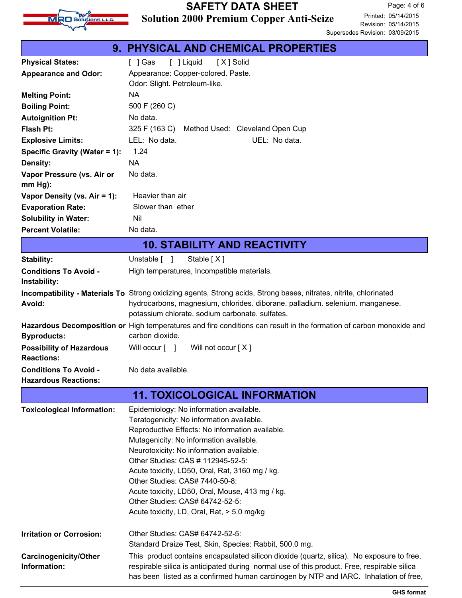

## **Solution 2000 Premium Copper Anti-Seize SAFETY DATA SHEET**

|                                                             | <b>9. PHYSICAL AND CHEMICAL PROPERTIES</b>                                                                                                                                          |
|-------------------------------------------------------------|-------------------------------------------------------------------------------------------------------------------------------------------------------------------------------------|
| <b>Physical States:</b>                                     | [ ] Gas<br>[ ] Liquid<br>[X] Solid                                                                                                                                                  |
| <b>Appearance and Odor:</b>                                 | Appearance: Copper-colored. Paste.<br>Odor: Slight. Petroleum-like.                                                                                                                 |
| <b>Melting Point:</b>                                       | <b>NA</b>                                                                                                                                                                           |
| <b>Boiling Point:</b>                                       | 500 F (260 C)                                                                                                                                                                       |
| <b>Autoignition Pt:</b>                                     | No data.                                                                                                                                                                            |
| <b>Flash Pt:</b>                                            | 325 F (163 C)<br>Method Used: Cleveland Open Cup                                                                                                                                    |
| <b>Explosive Limits:</b>                                    | LEL: No data.<br>UEL: No data.                                                                                                                                                      |
| Specific Gravity (Water = 1):                               | 1.24                                                                                                                                                                                |
| Density:                                                    | <b>NA</b>                                                                                                                                                                           |
| Vapor Pressure (vs. Air or<br>$mm Hg$ ):                    | No data.                                                                                                                                                                            |
| Vapor Density (vs. Air = 1):                                | Heavier than air                                                                                                                                                                    |
| <b>Evaporation Rate:</b>                                    | Slower than ether                                                                                                                                                                   |
| <b>Solubility in Water:</b>                                 | Nil                                                                                                                                                                                 |
| <b>Percent Volatile:</b>                                    | No data.                                                                                                                                                                            |
|                                                             | <b>10. STABILITY AND REACTIVITY</b>                                                                                                                                                 |
| Stability:                                                  | Unstable [ ]<br>Stable [X]                                                                                                                                                          |
| <b>Conditions To Avoid -</b><br>Instability:                | High temperatures, Incompatible materials.                                                                                                                                          |
|                                                             | Incompatibility - Materials To Strong oxidizing agents, Strong acids, Strong bases, nitrates, nitrite, chlorinated                                                                  |
| Avoid:                                                      | hydrocarbons, magnesium, chlorides. diborane. palladium. selenium. manganese.                                                                                                       |
|                                                             | potassium chlorate. sodium carbonate. sulfates.                                                                                                                                     |
| <b>Byproducts:</b>                                          | Hazardous Decomposition or High temperatures and fire conditions can result in the formation of carbon monoxide and<br>carbon dioxide.                                              |
| <b>Possibility of Hazardous</b><br><b>Reactions:</b>        | Will occur [ ]<br>Will not occur [X]                                                                                                                                                |
| <b>Conditions To Avoid -</b><br><b>Hazardous Reactions:</b> | No data available.                                                                                                                                                                  |
|                                                             | <b>11. TOXICOLOGICAL INFORMATION</b>                                                                                                                                                |
| <b>Toxicological Information:</b>                           | Epidemiology: No information available.                                                                                                                                             |
|                                                             | Teratogenicity: No information available.                                                                                                                                           |
|                                                             | Reproductive Effects: No information available.                                                                                                                                     |
|                                                             | Mutagenicity: No information available.<br>Neurotoxicity: No information available.                                                                                                 |
|                                                             | Other Studies: CAS # 112945-52-5:                                                                                                                                                   |
|                                                             | Acute toxicity, LD50, Oral, Rat, 3160 mg / kg.                                                                                                                                      |
|                                                             | Other Studies: CAS# 7440-50-8:                                                                                                                                                      |
|                                                             | Acute toxicity, LD50, Oral, Mouse, 413 mg / kg.                                                                                                                                     |
|                                                             | Other Studies: CAS# 64742-52-5:                                                                                                                                                     |
|                                                             | Acute toxicity, LD, Oral, Rat, > 5.0 mg/kg                                                                                                                                          |
| <b>Irritation or Corrosion:</b>                             | Other Studies: CAS# 64742-52-5:<br>Standard Draize Test, Skin, Species: Rabbit, 500.0 mg.                                                                                           |
| Carcinogenicity/Other                                       | This product contains encapsulated silicon dioxide (quartz, silica). No exposure to free,                                                                                           |
| Information:                                                | respirable silica is anticipated during normal use of this product. Free, respirable silica<br>has been listed as a confirmed human carcinogen by NTP and IARC. Inhalation of free, |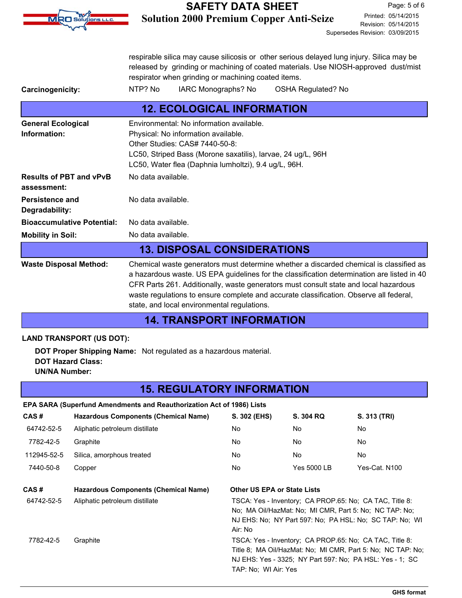

### **Solution 2000 Premium Copper Anti-Seize SAFETY DATA SHEET**

Revision: 05/14/2015 Printed: 05/14/2015 Page: 5 of 6 Supersedes Revision: 03/09/2015

respirable silica may cause silicosis or other serious delayed lung injury. Silica may be released by grinding or machining of coated materials. Use NIOSH-approved dust/mist respirator when grinding or machining coated items.

Carcinogenicity: NTP? No IARC Monographs? No OSHA Regulated? No

|                                               | <b>12. ECOLOGICAL INFORMATION</b>                                                                                                                                                                                                                                                                                                                                                                                     |
|-----------------------------------------------|-----------------------------------------------------------------------------------------------------------------------------------------------------------------------------------------------------------------------------------------------------------------------------------------------------------------------------------------------------------------------------------------------------------------------|
| <b>General Ecological</b><br>Information:     | Environmental: No information available.<br>Physical: No information available.<br>Other Studies: CAS# 7440-50-8:<br>LC50, Striped Bass (Morone saxatilis), larvae, 24 ug/L, 96H<br>LC50, Water flea (Daphnia lumholtzi), 9.4 ug/L, 96H.                                                                                                                                                                              |
| <b>Results of PBT and vPvB</b><br>assessment: | No data available.                                                                                                                                                                                                                                                                                                                                                                                                    |
| Persistence and<br>Degradability:             | No data available.                                                                                                                                                                                                                                                                                                                                                                                                    |
| <b>Bioaccumulative Potential:</b>             | No data available.                                                                                                                                                                                                                                                                                                                                                                                                    |
| <b>Mobility in Soil:</b>                      | No data available.                                                                                                                                                                                                                                                                                                                                                                                                    |
|                                               | <b>13. DISPOSAL CONSIDERATIONS</b>                                                                                                                                                                                                                                                                                                                                                                                    |
| <b>Waste Disposal Method:</b>                 | Chemical waste generators must determine whether a discarded chemical is classified as<br>a hazardous waste. US EPA guidelines for the classification determination are listed in 40<br>CFR Parts 261. Additionally, waste generators must consult state and local hazardous<br>waste regulations to ensure complete and accurate classification. Observe all federal,<br>state, and local environmental regulations. |

### **14. TRANSPORT INFORMATION**

#### **LAND TRANSPORT (US DOT):**

**DOT Proper Shipping Name:** Not regulated as a hazardous material. **DOT Hazard Class: UN/NA Number:**

### **15. REGULATORY INFORMATION**

#### **EPA SARA (Superfund Amendments and Reauthorization Act of 1986) Lists**

| CAS#        | <b>Hazardous Components (Chemical Name)</b> | S. 302 (EHS)                                                                                                                                                                                               | S. 304 RQ          | S. 313 (TRI)  |
|-------------|---------------------------------------------|------------------------------------------------------------------------------------------------------------------------------------------------------------------------------------------------------------|--------------------|---------------|
| 64742-52-5  | Aliphatic petroleum distillate              | No                                                                                                                                                                                                         | No.                | No.           |
| 7782-42-5   | Graphite                                    | No.                                                                                                                                                                                                        | No.                | No.           |
| 112945-52-5 | Silica, amorphous treated                   | No                                                                                                                                                                                                         | No.                | No.           |
| 7440-50-8   | Copper                                      | No.                                                                                                                                                                                                        | <b>Yes 5000 LB</b> | Yes-Cat. N100 |
| CAS#        | <b>Hazardous Components (Chemical Name)</b> | Other US EPA or State Lists                                                                                                                                                                                |                    |               |
| 64742-52-5  | Aliphatic petroleum distillate              | TSCA: Yes - Inventory: CA PROP.65: No: CA TAC, Title 8:<br>No: MA Oil/HazMat: No: MI CMR, Part 5: No: NC TAP: No:<br>NJ EHS: No: NY Part 597: No: PA HSL: No: SC TAP: No: WI<br>Air: No                    |                    |               |
| 7782-42-5   | Graphite                                    | TSCA: Yes - Inventory; CA PROP.65: No; CA TAC, Title 8:<br>Title 8; MA Oil/HazMat: No; MI CMR, Part 5: No; NC TAP: No;<br>NJ EHS: Yes - 3325; NY Part 597: No; PA HSL: Yes - 1; SC<br>TAP: No: WI Air: Yes |                    |               |